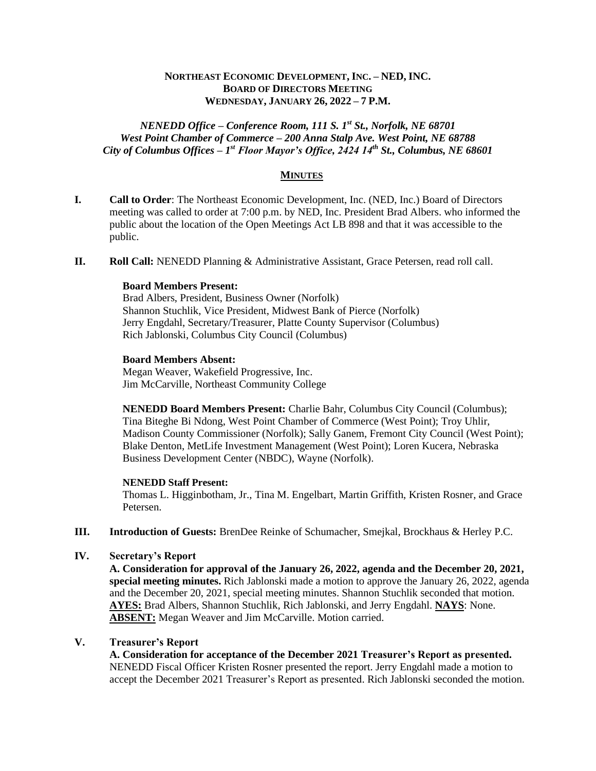## **NORTHEAST ECONOMIC DEVELOPMENT, INC. – NED, INC. BOARD OF DIRECTORS MEETING WEDNESDAY, JANUARY 26, 2022 – 7 P.M.**

## *NENEDD Office – Conference Room, 111 S. 1st St., Norfolk, NE 68701 West Point Chamber of Commerce – 200 Anna Stalp Ave. West Point, NE 68788 City of Columbus Offices – 1 st Floor Mayor's Office, 2424 14th St., Columbus, NE 68601*

## **MINUTES**

- **I. Call to Order**: The Northeast Economic Development, Inc. (NED, Inc.) Board of Directors meeting was called to order at 7:00 p.m. by NED, Inc. President Brad Albers. who informed the public about the location of the Open Meetings Act LB 898 and that it was accessible to the public.
- **II. Roll Call:** NENEDD Planning & Administrative Assistant, Grace Petersen, read roll call.

#### **Board Members Present:**

Brad Albers, President, Business Owner (Norfolk) Shannon Stuchlik, Vice President, Midwest Bank of Pierce (Norfolk) Jerry Engdahl, Secretary/Treasurer, Platte County Supervisor (Columbus) Rich Jablonski, Columbus City Council (Columbus)

#### **Board Members Absent:**

Megan Weaver, Wakefield Progressive, Inc. Jim McCarville, Northeast Community College

**NENEDD Board Members Present:** Charlie Bahr, Columbus City Council (Columbus); Tina Biteghe Bi Ndong, West Point Chamber of Commerce (West Point); Troy Uhlir, Madison County Commissioner (Norfolk); Sally Ganem, Fremont City Council (West Point); Blake Denton, MetLife Investment Management (West Point); Loren Kucera, Nebraska Business Development Center (NBDC), Wayne (Norfolk).

#### **NENEDD Staff Present:**

Thomas L. Higginbotham, Jr., Tina M. Engelbart, Martin Griffith, Kristen Rosner, and Grace Petersen.

**III. Introduction of Guests:** BrenDee Reinke of Schumacher, Smejkal, Brockhaus & Herley P.C.

# **IV. Secretary's Report**

**A. Consideration for approval of the January 26, 2022, agenda and the December 20, 2021, special meeting minutes.** Rich Jablonski made a motion to approve the January 26, 2022, agenda and the December 20, 2021, special meeting minutes. Shannon Stuchlik seconded that motion. **AYES:** Brad Albers, Shannon Stuchlik, Rich Jablonski, and Jerry Engdahl. **NAYS**: None. **ABSENT:** Megan Weaver and Jim McCarville. Motion carried.

# **V. Treasurer's Report**

**A. Consideration for acceptance of the December 2021 Treasurer's Report as presented.** NENEDD Fiscal Officer Kristen Rosner presented the report. Jerry Engdahl made a motion to accept the December 2021 Treasurer's Report as presented. Rich Jablonski seconded the motion.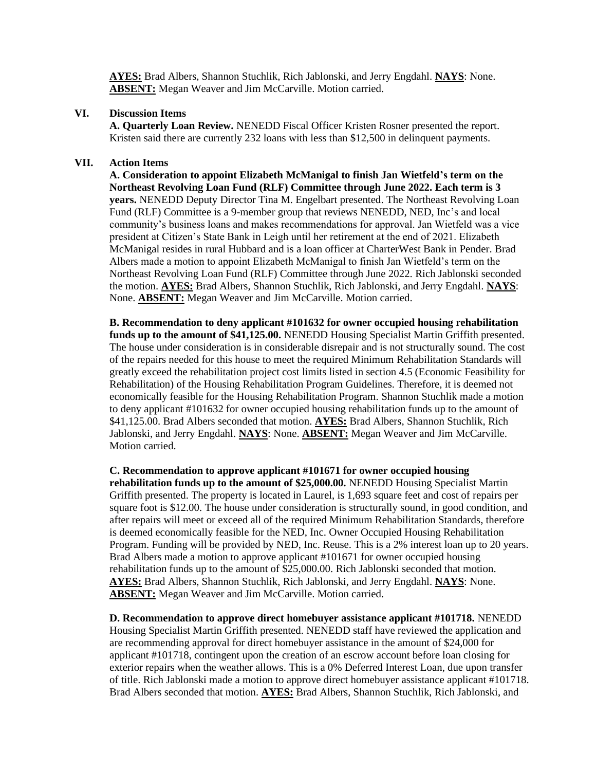**AYES:** Brad Albers, Shannon Stuchlik, Rich Jablonski, and Jerry Engdahl. **NAYS**: None. **ABSENT:** Megan Weaver and Jim McCarville. Motion carried.

#### **VI. Discussion Items**

**A. Quarterly Loan Review.** NENEDD Fiscal Officer Kristen Rosner presented the report. Kristen said there are currently 232 loans with less than \$12,500 in delinquent payments.

### **VII. Action Items**

**A. Consideration to appoint Elizabeth McManigal to finish Jan Wietfeld's term on the Northeast Revolving Loan Fund (RLF) Committee through June 2022. Each term is 3 years.** NENEDD Deputy Director Tina M. Engelbart presented. The Northeast Revolving Loan Fund (RLF) Committee is a 9-member group that reviews NENEDD, NED, Inc's and local community's business loans and makes recommendations for approval. Jan Wietfeld was a vice president at Citizen's State Bank in Leigh until her retirement at the end of 2021. Elizabeth McManigal resides in rural Hubbard and is a loan officer at CharterWest Bank in Pender. Brad Albers made a motion to appoint Elizabeth McManigal to finish Jan Wietfeld's term on the Northeast Revolving Loan Fund (RLF) Committee through June 2022. Rich Jablonski seconded the motion. **AYES:** Brad Albers, Shannon Stuchlik, Rich Jablonski, and Jerry Engdahl. **NAYS**: None. **ABSENT:** Megan Weaver and Jim McCarville. Motion carried.

**B. Recommendation to deny applicant #101632 for owner occupied housing rehabilitation funds up to the amount of \$41,125.00.** NENEDD Housing Specialist Martin Griffith presented. The house under consideration is in considerable disrepair and is not structurally sound. The cost of the repairs needed for this house to meet the required Minimum Rehabilitation Standards will greatly exceed the rehabilitation project cost limits listed in section 4.5 (Economic Feasibility for Rehabilitation) of the Housing Rehabilitation Program Guidelines. Therefore, it is deemed not economically feasible for the Housing Rehabilitation Program. Shannon Stuchlik made a motion to deny applicant #101632 for owner occupied housing rehabilitation funds up to the amount of \$41,125.00. Brad Albers seconded that motion. **AYES:** Brad Albers, Shannon Stuchlik, Rich Jablonski, and Jerry Engdahl. **NAYS**: None. **ABSENT:** Megan Weaver and Jim McCarville. Motion carried.

**C. Recommendation to approve applicant #101671 for owner occupied housing rehabilitation funds up to the amount of \$25,000.00.** NENEDD Housing Specialist Martin Griffith presented. The property is located in Laurel, is 1,693 square feet and cost of repairs per square foot is \$12.00. The house under consideration is structurally sound, in good condition, and after repairs will meet or exceed all of the required Minimum Rehabilitation Standards, therefore is deemed economically feasible for the NED, Inc. Owner Occupied Housing Rehabilitation Program. Funding will be provided by NED, Inc. Reuse. This is a 2% interest loan up to 20 years. Brad Albers made a motion to approve applicant #101671 for owner occupied housing rehabilitation funds up to the amount of \$25,000.00. Rich Jablonski seconded that motion. **AYES:** Brad Albers, Shannon Stuchlik, Rich Jablonski, and Jerry Engdahl. **NAYS**: None. **ABSENT:** Megan Weaver and Jim McCarville. Motion carried.

**D. Recommendation to approve direct homebuyer assistance applicant #101718.** NENEDD Housing Specialist Martin Griffith presented. NENEDD staff have reviewed the application and are recommending approval for direct homebuyer assistance in the amount of \$24,000 for applicant #101718, contingent upon the creation of an escrow account before loan closing for exterior repairs when the weather allows. This is a 0% Deferred Interest Loan, due upon transfer of title. Rich Jablonski made a motion to approve direct homebuyer assistance applicant #101718. Brad Albers seconded that motion. **AYES:** Brad Albers, Shannon Stuchlik, Rich Jablonski, and